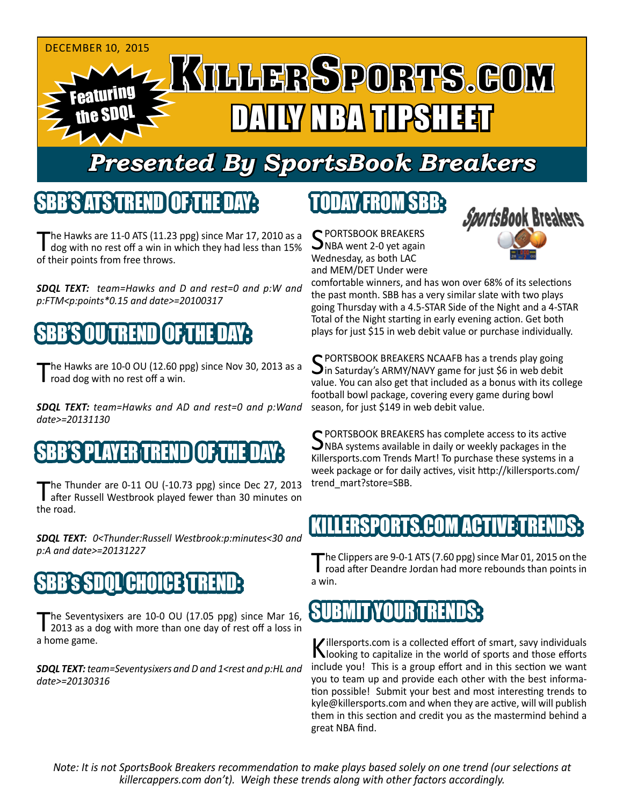

## *Presented By SportsBook Breakers*

#### SBB'S ATSTER

The Hawks are 11-0 ATS (11.23 ppg) since Mar 17, 2010 as a I dog with no rest off a win in which they had less than 15% of their points from free throws.

*SDQL TEXT: team=Hawks and D and rest=0 and p:W and p:FTM<p:points\*0.15 and date>=20100317*

## SBB'S OU TREND OF THE DAY:

The Hawks are 10-0 OU (12.60 ppg) since Nov 30, 2013 as a road dog with no rest off a win.

*SDQL TEXT: team=Hawks and AD and rest=0 and p:Wand date>=20131130*

## 'S PLAYER TREND [OF:1

The Thunder are 0-11 OU (-10.73 ppg) since Dec 27, 2013<br>after Russell Westbrook played fewer than 30 minutes on the road.

*SDQL TEXT: 0<Thunder:Russell Westbrook:p:minutes<30 and p:A and date>=20131227*

#### 'CHOICE

The Seventysixers are 10-0 OU (17.05 ppg) since Mar 16, 2013 as a dog with more than one day of rest off a loss in a home game.

*SDQL TEXT: team=Seventysixers and D and 1<rest and p:HL and date>=20130316*

## TODAY FROM SBB:

C PORTSBOOK BREAKERS  $\sum$ NBA went 2-0 yet again Wednesday, as both LAC and MEM/DET Under were



comfortable winners, and has won over 68% of its selections the past month. SBB has a very similar slate with two plays going Thursday with a 4.5-STAR Side of the Night and a 4-STAR Total of the Night starting in early evening action. Get both plays for just \$15 in web debit value or purchase individually.

SPORTSBOOK BREAKERS NCAAFB has a trends play going<br>In Saturday's ARMY/NAVY game for just \$6 in web debit value. You can also get that included as a bonus with its college football bowl package, covering every game during bowl season, for just \$149 in web debit value.

SPORTSBOOK BREAKERS has complete access to its active<br>
WHA systems available in daily or weekly packages in the Killersports.com Trends Mart! To purchase these systems in a week package or for daily actives, visit http://killersports.com/ trend\_mart?store=SBB.

#### RTS COM ACT

The Clippers are 9-0-1 ATS (7.60 ppg) since Mar 01, 2015 on the road after Deandre Jordan had more rebounds than points in a win.

## **SUBMIT YOURT**

Killersports.com is a collected effort of smart, savy individuals<br>Nooking to capitalize in the world of sports and those efforts include you! This is a group effort and in this section we want you to team up and provide each other with the best information possible! Submit your best and most interesting trends to kyle@killersports.com and when they are active, will will publish them in this section and credit you as the mastermind behind a great NBA find.

*Note: It is not SportsBook Breakers recommendation to make plays based solely on one trend (our selections at killercappers.com don't). Weigh these trends along with other factors accordingly.*